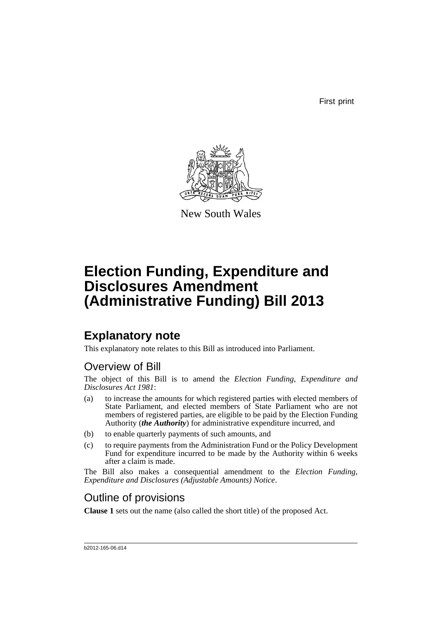First print



New South Wales

# **Election Funding, Expenditure and Disclosures Amendment (Administrative Funding) Bill 2013**

## **Explanatory note**

This explanatory note relates to this Bill as introduced into Parliament.

## Overview of Bill

The object of this Bill is to amend the *Election Funding, Expenditure and Disclosures Act 1981*:

- (a) to increase the amounts for which registered parties with elected members of State Parliament, and elected members of State Parliament who are not members of registered parties, are eligible to be paid by the Election Funding Authority (*the Authority*) for administrative expenditure incurred, and
- (b) to enable quarterly payments of such amounts, and
- (c) to require payments from the Administration Fund or the Policy Development Fund for expenditure incurred to be made by the Authority within 6 weeks after a claim is made.

The Bill also makes a consequential amendment to the *Election Funding, Expenditure and Disclosures (Adjustable Amounts) Notice*.

## Outline of provisions

**Clause 1** sets out the name (also called the short title) of the proposed Act.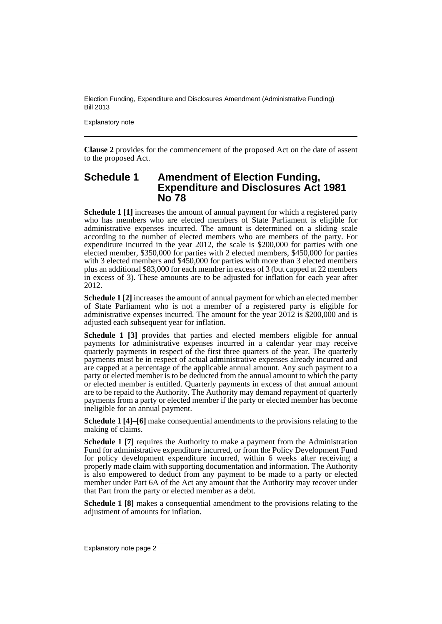Explanatory note

**Clause 2** provides for the commencement of the proposed Act on the date of assent to the proposed Act.

## **Schedule 1 Amendment of Election Funding, Expenditure and Disclosures Act 1981 No 78**

**Schedule 1 [1]** increases the amount of annual payment for which a registered party who has members who are elected members of State Parliament is eligible for administrative expenses incurred. The amount is determined on a sliding scale according to the number of elected members who are members of the party. For expenditure incurred in the year 2012, the scale is \$200,000 for parties with one elected member, \$350,000 for parties with 2 elected members, \$450,000 for parties with 3 elected members and \$450,000 for parties with more than 3 elected members plus an additional \$83,000 for each member in excess of 3 (but capped at 22 members in excess of 3). These amounts are to be adjusted for inflation for each year after 2012.

**Schedule 1 [2]** increases the amount of annual payment for which an elected member of State Parliament who is not a member of a registered party is eligible for administrative expenses incurred. The amount for the year 2012 is \$200,000 and is adjusted each subsequent year for inflation.

**Schedule 1 [3]** provides that parties and elected members eligible for annual payments for administrative expenses incurred in a calendar year may receive quarterly payments in respect of the first three quarters of the year. The quarterly payments must be in respect of actual administrative expenses already incurred and are capped at a percentage of the applicable annual amount. Any such payment to a party or elected member is to be deducted from the annual amount to which the party or elected member is entitled. Quarterly payments in excess of that annual amount are to be repaid to the Authority. The Authority may demand repayment of quarterly payments from a party or elected member if the party or elected member has become ineligible for an annual payment.

**Schedule 1 [4]–[6]** make consequential amendments to the provisions relating to the making of claims.

**Schedule 1 [7]** requires the Authority to make a payment from the Administration Fund for administrative expenditure incurred, or from the Policy Development Fund for policy development expenditure incurred, within 6 weeks after receiving a properly made claim with supporting documentation and information. The Authority is also empowered to deduct from any payment to be made to a party or elected member under Part 6A of the Act any amount that the Authority may recover under that Part from the party or elected member as a debt.

**Schedule 1 [8]** makes a consequential amendment to the provisions relating to the adjustment of amounts for inflation.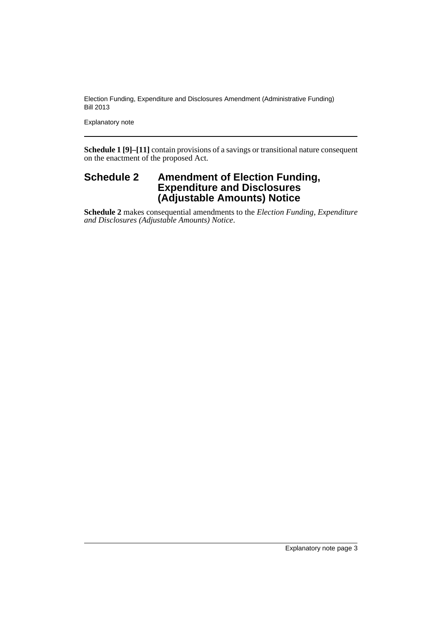Explanatory note

**Schedule 1 [9]–[11]** contain provisions of a savings or transitional nature consequent on the enactment of the proposed Act.

## **Schedule 2 Amendment of Election Funding, Expenditure and Disclosures (Adjustable Amounts) Notice**

**Schedule 2** makes consequential amendments to the *Election Funding, Expenditure and Disclosures (Adjustable Amounts) Notice*.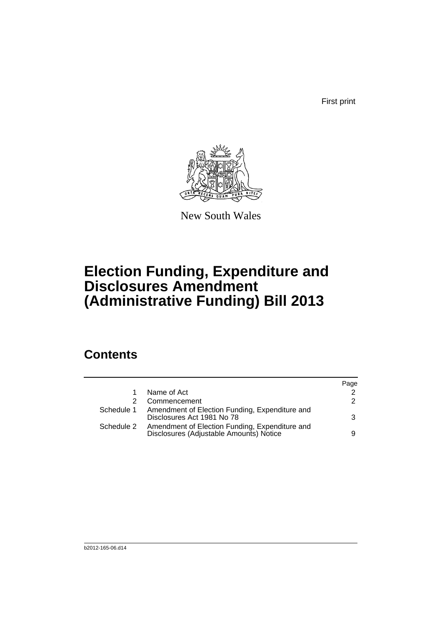First print



New South Wales

# **Election Funding, Expenditure and Disclosures Amendment (Administrative Funding) Bill 2013**

## **Contents**

|            |                                                                                           | Page |
|------------|-------------------------------------------------------------------------------------------|------|
|            | Name of Act                                                                               | 2    |
|            | Commencement                                                                              | 2    |
| Schedule 1 | Amendment of Election Funding, Expenditure and<br>Disclosures Act 1981 No 78              | 3    |
| Schedule 2 | Amendment of Election Funding, Expenditure and<br>Disclosures (Adjustable Amounts) Notice | 9    |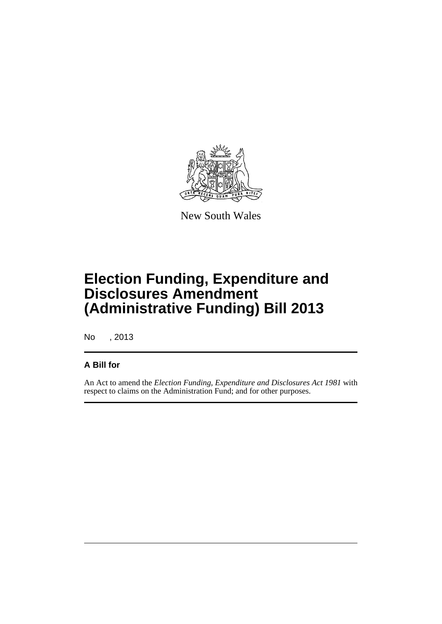

New South Wales

# **Election Funding, Expenditure and Disclosures Amendment (Administrative Funding) Bill 2013**

No , 2013

## **A Bill for**

An Act to amend the *Election Funding, Expenditure and Disclosures Act 1981* with respect to claims on the Administration Fund; and for other purposes.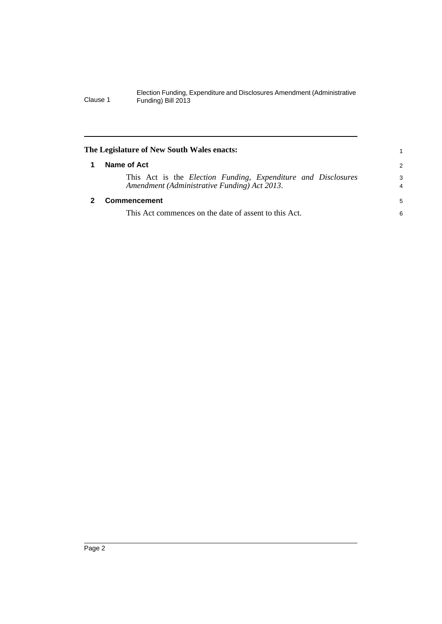<span id="page-7-1"></span><span id="page-7-0"></span>

| The Legislature of New South Wales enacts: |                                                                                                                              | 1             |
|--------------------------------------------|------------------------------------------------------------------------------------------------------------------------------|---------------|
|                                            | Name of Act                                                                                                                  | $\mathcal{P}$ |
|                                            | This Act is the <i>Election Funding</i> , <i>Expenditure and Disclosures</i><br>Amendment (Administrative Funding) Act 2013. | 3<br>4        |
|                                            | <b>Commencement</b>                                                                                                          | 5             |
|                                            | This Act commences on the date of assent to this Act.                                                                        | 6             |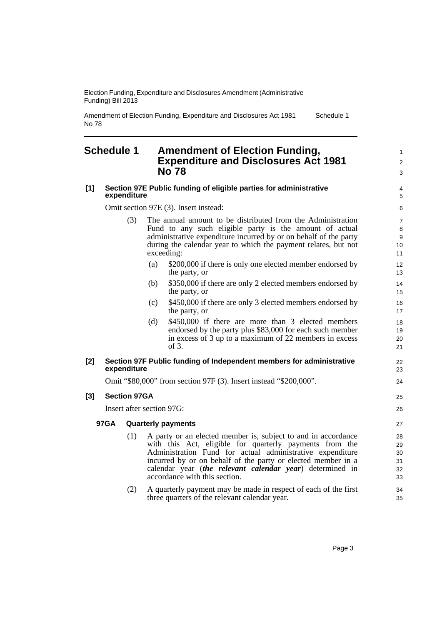Amendment of Election Funding, Expenditure and Disclosures Act 1981 No 78 Schedule 1

### <span id="page-8-0"></span>**Schedule 1 Amendment of Election Funding, Expenditure and Disclosures Act 1981 No 78**

#### **[1] Section 97E Public funding of eligible parties for administrative expenditure**

Omit section 97E (3). Insert instead:

- (3) The annual amount to be distributed from the Administration Fund to any such eligible party is the amount of actual administrative expenditure incurred by or on behalf of the party during the calendar year to which the payment relates, but not exceeding:
	- (a) \$200,000 if there is only one elected member endorsed by the party, or
	- (b) \$350,000 if there are only 2 elected members endorsed by the party, or
	- (c) \$450,000 if there are only 3 elected members endorsed by the party, or
	- (d) \$450,000 if there are more than 3 elected members endorsed by the party plus \$83,000 for each such member in excess of 3 up to a maximum of 22 members in excess of 3.

#### **[2] Section 97F Public funding of Independent members for administrative expenditure**

Omit "\$80,000" from section 97F (3). Insert instead "\$200,000".

#### **[3] Section 97GA**

Insert after section 97G:

#### **97GA Quarterly payments**

- (1) A party or an elected member is, subject to and in accordance with this Act, eligible for quarterly payments from the Administration Fund for actual administrative expenditure incurred by or on behalf of the party or elected member in a calendar year (*the relevant calendar year*) determined in accordance with this section.
- (2) A quarterly payment may be made in respect of each of the first three quarters of the relevant calendar year.

1  $\mathfrak{p}$ 3

25 26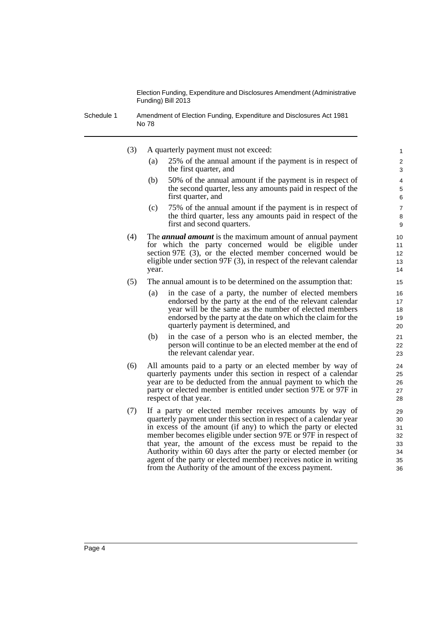Schedule 1 Amendment of Election Funding, Expenditure and Disclosures Act 1981 No 78

- (3) A quarterly payment must not exceed:
	- (a) 25% of the annual amount if the payment is in respect of the first quarter, and

- (b) 50% of the annual amount if the payment is in respect of the second quarter, less any amounts paid in respect of the first quarter, and
- (c) 75% of the annual amount if the payment is in respect of the third quarter, less any amounts paid in respect of the first and second quarters.
- (4) The *annual amount* is the maximum amount of annual payment for which the party concerned would be eligible under section 97E (3), or the elected member concerned would be eligible under section 97F (3), in respect of the relevant calendar year.
- (5) The annual amount is to be determined on the assumption that:
	- (a) in the case of a party, the number of elected members endorsed by the party at the end of the relevant calendar year will be the same as the number of elected members endorsed by the party at the date on which the claim for the quarterly payment is determined, and
	- (b) in the case of a person who is an elected member, the person will continue to be an elected member at the end of the relevant calendar year.
- (6) All amounts paid to a party or an elected member by way of quarterly payments under this section in respect of a calendar year are to be deducted from the annual payment to which the party or elected member is entitled under section 97E or 97F in respect of that year.
- (7) If a party or elected member receives amounts by way of quarterly payment under this section in respect of a calendar year in excess of the amount (if any) to which the party or elected member becomes eligible under section 97E or 97F in respect of that year, the amount of the excess must be repaid to the Authority within 60 days after the party or elected member (or agent of the party or elected member) receives notice in writing from the Authority of the amount of the excess payment.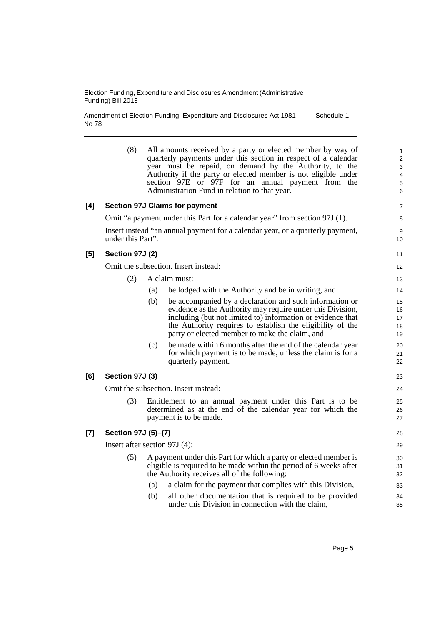Amendment of Election Funding, Expenditure and Disclosures Act 1981 No 78 Schedule 1

(8) All amounts received by a party or elected member by way of quarterly payments under this section in respect of a calendar year must be repaid, on demand by the Authority, to the Authority if the party or elected member is not eligible under section 97E or 97F for an annual payment from the Administration Fund in relation to that year. **[4] Section 97J Claims for payment** Omit "a payment under this Part for a calendar year" from section 97J (1). Insert instead "an annual payment for a calendar year, or a quarterly payment, under this Part". **[5] Section 97J (2)** Omit the subsection. Insert instead: (2) A claim must: (a) be lodged with the Authority and be in writing, and (b) be accompanied by a declaration and such information or evidence as the Authority may require under this Division, including (but not limited to) information or evidence that the Authority requires to establish the eligibility of the party or elected member to make the claim, and (c) be made within 6 months after the end of the calendar year for which payment is to be made, unless the claim is for a quarterly payment. **[6] Section 97J (3)** Omit the subsection. Insert instead: (3) Entitlement to an annual payment under this Part is to be determined as at the end of the calendar year for which the payment is to be made. **[7] Section 97J (5)–(7)** Insert after section 97J (4): (5) A payment under this Part for which a party or elected member is eligible is required to be made within the period of 6 weeks after the Authority receives all of the following: (a) a claim for the payment that complies with this Division, (b) all other documentation that is required to be provided under this Division in connection with the claim, 1 2 3 4 5 6 7 8 9 10 11 12 13 14 15 16 17 18 19 20 21 22 23 24 25 26 27 28 29 30 31 32 33 34 35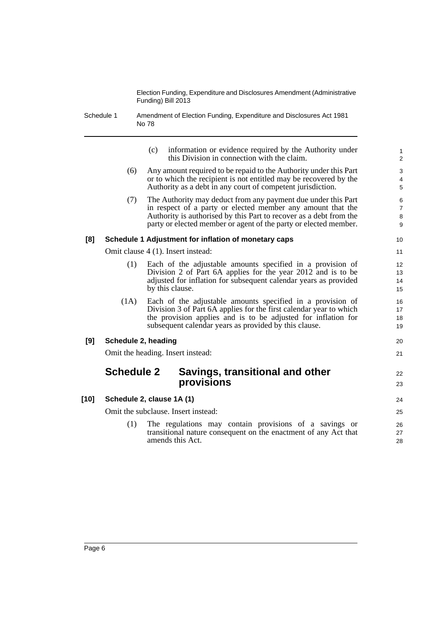Schedule 1 Amendment of Election Funding, Expenditure and Disclosures Act 1981 No 78

|      |                     | information or evidence required by the Authority under<br>(c)<br>this Division in connection with the claim.                                                                                                                                                          | $\mathbf{1}$<br>2                   |
|------|---------------------|------------------------------------------------------------------------------------------------------------------------------------------------------------------------------------------------------------------------------------------------------------------------|-------------------------------------|
|      | (6)                 | Any amount required to be repaid to the Authority under this Part<br>or to which the recipient is not entitled may be recovered by the<br>Authority as a debt in any court of competent jurisdiction.                                                                  | 3<br>4<br>5                         |
|      | (7)                 | The Authority may deduct from any payment due under this Part<br>in respect of a party or elected member any amount that the<br>Authority is authorised by this Part to recover as a debt from the<br>party or elected member or agent of the party or elected member. | $\,6$<br>$\overline{7}$<br>8<br>9   |
| [8]  |                     | Schedule 1 Adjustment for inflation of monetary caps                                                                                                                                                                                                                   | 10                                  |
|      |                     | Omit clause 4 (1). Insert instead:                                                                                                                                                                                                                                     | 11                                  |
|      | (1)                 | Each of the adjustable amounts specified in a provision of<br>Division 2 of Part 6A applies for the year 2012 and is to be<br>adjusted for inflation for subsequent calendar years as provided<br>by this clause.                                                      | $12 \overline{ }$<br>13<br>14<br>15 |
|      | (1A)                | Each of the adjustable amounts specified in a provision of<br>Division 3 of Part 6A applies for the first calendar year to which<br>the provision applies and is to be adjusted for inflation for<br>subsequent calendar years as provided by this clause.             | 16<br>17<br>18<br>19                |
| [9]  | Schedule 2, heading |                                                                                                                                                                                                                                                                        | 20                                  |
|      |                     | Omit the heading. Insert instead:                                                                                                                                                                                                                                      | 21                                  |
|      | <b>Schedule 2</b>   | Savings, transitional and other<br>provisions                                                                                                                                                                                                                          | 22<br>23                            |
| [10] |                     | Schedule 2, clause 1A (1)                                                                                                                                                                                                                                              | 24                                  |
|      |                     | Omit the subclause. Insert instead:                                                                                                                                                                                                                                    | 25                                  |
|      | (1)                 | The regulations may contain provisions of a savings or<br>transitional nature consequent on the enactment of any Act that<br>amends this Act.                                                                                                                          | 26<br>27<br>28                      |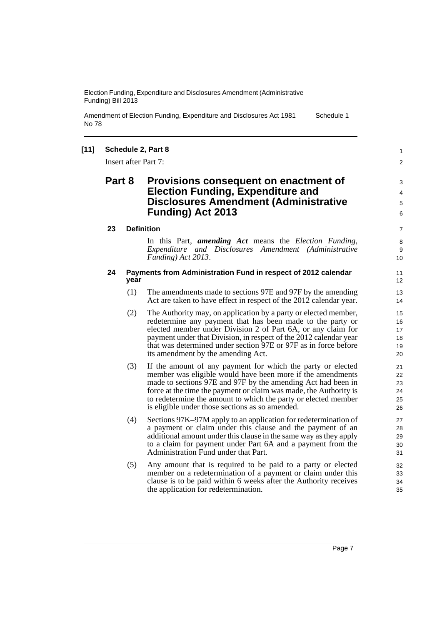Amendment of Election Funding, Expenditure and Disclosures Act 1981 No 78 Schedule 1

#### **[11] Schedule 2, Part 8**

Insert after Part 7:

### **Part 8 Provisions consequent on enactment of Election Funding, Expenditure and Disclosures Amendment (Administrative Funding) Act 2013**

6 7

> 8 **9** 10

1  $\mathfrak{p}$ 

3 4 5

### **23 Definition**

In this Part, *amending Act* means the *Election Funding, Expenditure and Disclosures Amendment (Administrative Funding) Act 2013*.

#### **24 Payments from Administration Fund in respect of 2012 calendar year**

- (1) The amendments made to sections 97E and 97F by the amending Act are taken to have effect in respect of the 2012 calendar year.
- (2) The Authority may, on application by a party or elected member, redetermine any payment that has been made to the party or elected member under Division 2 of Part 6A, or any claim for payment under that Division, in respect of the 2012 calendar year that was determined under section 97E or 97F as in force before its amendment by the amending Act.
- (3) If the amount of any payment for which the party or elected member was eligible would have been more if the amendments made to sections 97E and 97F by the amending Act had been in force at the time the payment or claim was made, the Authority is to redetermine the amount to which the party or elected member is eligible under those sections as so amended.
- (4) Sections 97K–97M apply to an application for redetermination of a payment or claim under this clause and the payment of an additional amount under this clause in the same way as they apply to a claim for payment under Part 6A and a payment from the Administration Fund under that Part.
- (5) Any amount that is required to be paid to a party or elected member on a redetermination of a payment or claim under this clause is to be paid within 6 weeks after the Authority receives the application for redetermination.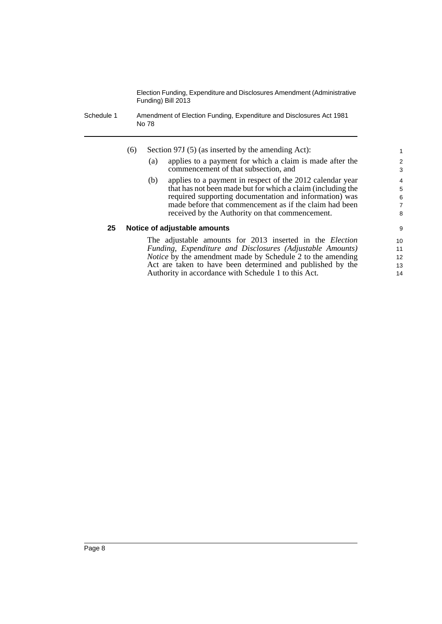Schedule 1 Amendment of Election Funding, Expenditure and Disclosures Act 1981 No 78

|    | (6) |     | Section 97J (5) (as inserted by the amending Act):                                                                       | 1                   |
|----|-----|-----|--------------------------------------------------------------------------------------------------------------------------|---------------------|
|    |     | (a) | applies to a payment for which a claim is made after the<br>commencement of that subsection, and                         | $\overline{2}$<br>3 |
|    |     | (b) | applies to a payment in respect of the 2012 calendar year<br>that has not been made but for which a claim (including the | $\overline{4}$<br>5 |
|    |     |     | required supporting documentation and information) was                                                                   | 6                   |
|    |     |     | made before that commencement as if the claim had been<br>received by the Authority on that commencement.                | 7<br>8              |
| 25 |     |     | Notice of adjustable amounts                                                                                             | 9                   |
|    |     |     | The adjustable amounts for 2013 inserted in the <i>Election</i>                                                          | 10                  |
|    |     |     | Funding, Expenditure and Disclosures (Adjustable Amounts)                                                                | 11                  |

*Funding, Expenditure and Disclosures (Adjustable Amounts) Notice* by the amendment made by Schedule 2 to the amending Act are taken to have been determined and published by the Authority in accordance with Schedule 1 to this Act.